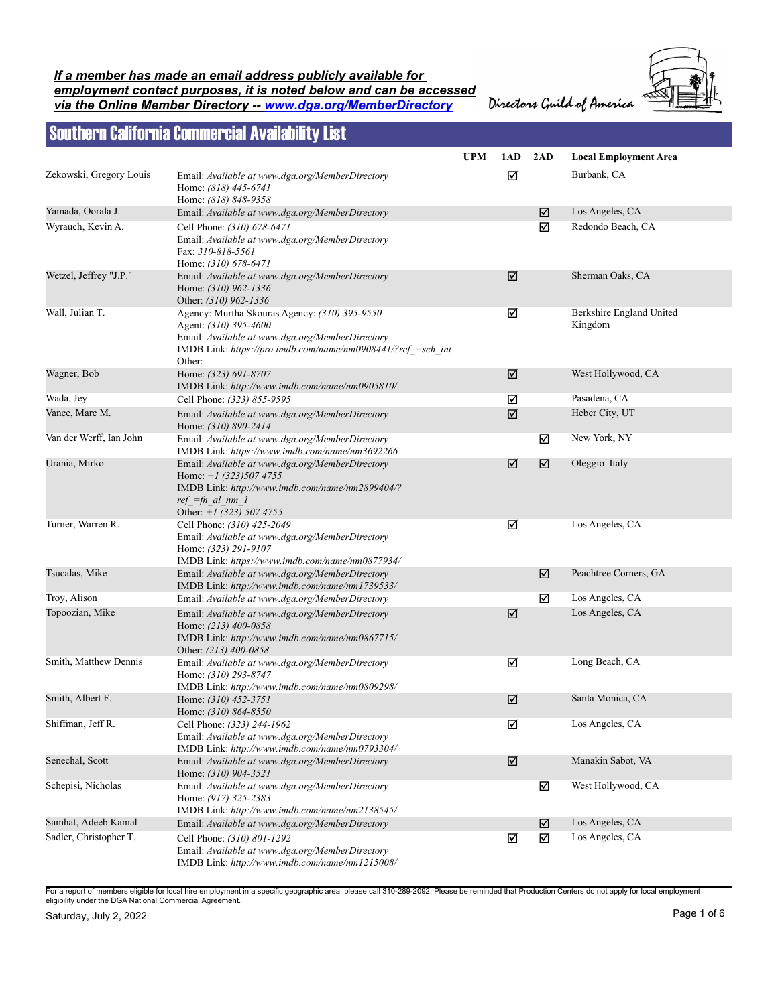*If a member has made an email address publicly available for employment contact purposes, it is noted below and can be accessed via the Online Member Directory -- www.dga.org/MemberDirectory*

Directors Guild of America



## Southern California Commercial Availability List

|                         |                                                                                                                                                                                                     | <b>UPM</b> | 1AD | 2AD | <b>Local Employment Area</b>        |
|-------------------------|-----------------------------------------------------------------------------------------------------------------------------------------------------------------------------------------------------|------------|-----|-----|-------------------------------------|
| Zekowski, Gregory Louis | Email: Available at www.dga.org/MemberDirectory<br>Home: (818) 445-6741                                                                                                                             |            | ☑   |     | Burbank, CA                         |
| Yamada, Oorala J.       | Home: (818) 848-9358<br>Email: Available at www.dga.org/MemberDirectory                                                                                                                             |            |     | ☑   | Los Angeles, CA                     |
| Wyrauch, Kevin A.       | Cell Phone: (310) 678-6471<br>Email: Available at www.dga.org/MemberDirectory<br>Fax: 310-818-5561<br>Home: (310) 678-6471                                                                          |            |     | ☑   | Redondo Beach, CA                   |
| Wetzel, Jeffrey "J.P."  | Email: Available at www.dga.org/MemberDirectory<br>Home: (310) 962-1336<br>Other: (310) 962-1336                                                                                                    |            | ☑   |     | Sherman Oaks, CA                    |
| Wall, Julian T.         | Agency: Murtha Skouras Agency: (310) 395-9550<br>Agent: (310) 395-4600<br>Email: Available at www.dga.org/MemberDirectory<br>IMDB Link: https://pro.imdb.com/name/nm0908441/?ref =sch int<br>Other: |            | ☑   |     | Berkshire England United<br>Kingdom |
| Wagner, Bob             | Home: (323) 691-8707<br>IMDB Link: http://www.imdb.com/name/nm0905810/                                                                                                                              |            | ☑   |     | West Hollywood, CA                  |
| Wada, Jey               | Cell Phone: (323) 855-9595                                                                                                                                                                          |            | ☑   |     | Pasadena, CA                        |
| Vance, Marc M.          | Email: Available at www.dga.org/MemberDirectory<br>Home: (310) 890-2414                                                                                                                             |            | ☑   |     | Heber City, UT                      |
| Van der Werff, Ian John | Email: Available at www.dga.org/MemberDirectory<br>IMDB Link: https://www.imdb.com/name/nm3692266                                                                                                   |            |     | ☑   | New York, NY                        |
| Urania, Mirko           | Email: Available at www.dga.org/MemberDirectory<br>Home: $+1$ (323)507 4755<br>IMDB Link: http://www.imdb.com/name/nm2899404/?<br>$ref =fn$ al nm 1<br>Other: $+1$ (323) 507 4755                   |            | ☑   | ☑   | Oleggio Italy                       |
| Turner, Warren R.       | Cell Phone: (310) 425-2049<br>Email: Available at www.dga.org/MemberDirectory<br>Home: (323) 291-9107<br>IMDB Link: https://www.imdb.com/name/nm0877934/                                            |            | ☑   |     | Los Angeles, CA                     |
| Tsucalas, Mike          | Email: Available at www.dga.org/MemberDirectory<br>IMDB Link: http://www.imdb.com/name/nm1739533/                                                                                                   |            |     | ☑   | Peachtree Corners, GA               |
| Troy, Alison            | Email: Available at www.dga.org/MemberDirectory                                                                                                                                                     |            |     | ☑   | Los Angeles, CA                     |
| Topoozian, Mike         | Email: Available at www.dga.org/MemberDirectory<br>Home: (213) 400-0858<br>IMDB Link: http://www.imdb.com/name/nm0867715/<br>Other: (213) 400-0858                                                  |            | ☑   |     | Los Angeles, CA                     |
| Smith, Matthew Dennis   | Email: Available at www.dga.org/MemberDirectory<br>Home: (310) 293-8747<br>IMDB Link: http://www.imdb.com/name/nm0809298/                                                                           |            | ☑   |     | Long Beach, CA                      |
| Smith, Albert F.        | Home: (310) 452-3751<br>Home: (310) 864-8550                                                                                                                                                        |            | ☑   |     | Santa Monica, CA                    |
| Shiffman, Jeff R.       | Cell Phone: (323) 244-1962<br>Email: Available at www.dga.org/MemberDirectory<br>IMDB Link: http://www.imdb.com/name/nm0793304/                                                                     |            | ☑   |     | Los Angeles, CA                     |
| Senechal, Scott         | Email: Available at www.dga.org/MemberDirectory<br>Home: (310) 904-3521                                                                                                                             |            | ☑   |     | Manakin Sabot, VA                   |
| Schepisi, Nicholas      | Email: Available at www.dga.org/MemberDirectory<br>Home: (917) 325-2383<br>IMDB Link: http://www.imdb.com/name/nm2138545/                                                                           |            |     | ☑   | West Hollywood, CA                  |
| Samhat, Adeeb Kamal     | Email: Available at www.dga.org/MemberDirectory                                                                                                                                                     |            |     | ☑   | Los Angeles, CA                     |
| Sadler, Christopher T.  | Cell Phone: (310) 801-1292<br>Email: Available at www.dga.org/MemberDirectory<br>IMDB Link: http://www.imdb.com/name/nm1215008/                                                                     |            | ☑   | ☑   | Los Angeles, CA                     |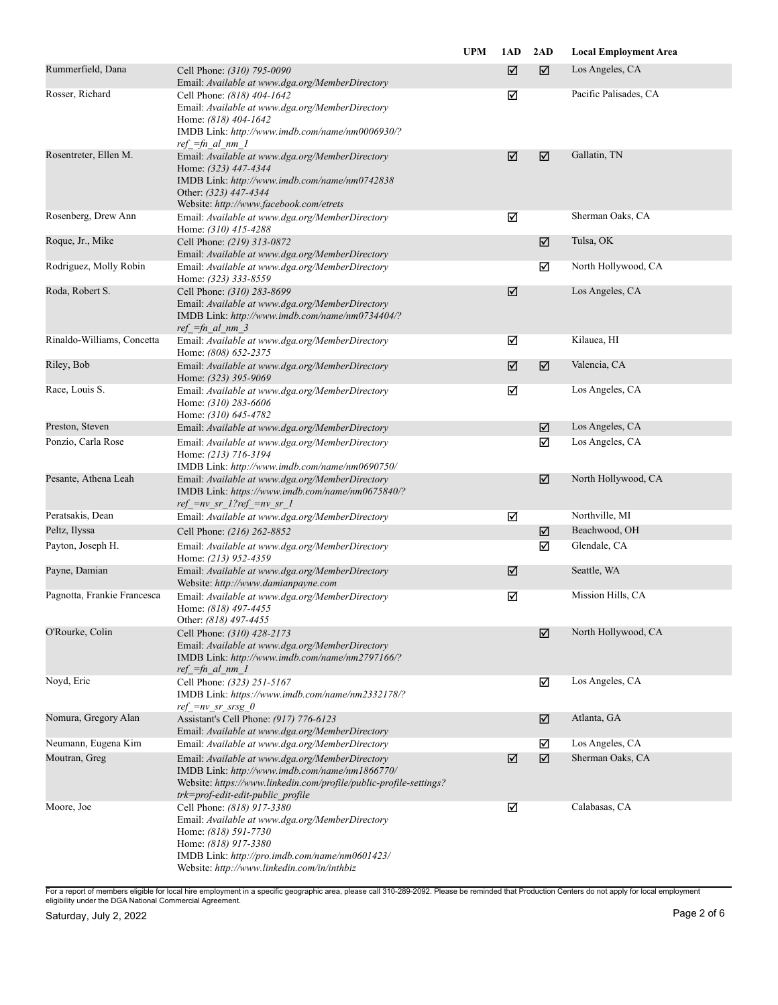|                             |                                                                                                                                                                                                                                | <b>UPM</b> | 1AD | 2AD | <b>Local Employment Area</b> |
|-----------------------------|--------------------------------------------------------------------------------------------------------------------------------------------------------------------------------------------------------------------------------|------------|-----|-----|------------------------------|
| Rummerfield, Dana           | Cell Phone: (310) 795-0090<br>Email: Available at www.dga.org/MemberDirectory                                                                                                                                                  |            | ☑   | ☑   | Los Angeles, CA              |
| Rosser, Richard             | Cell Phone: (818) 404-1642<br>Email: Available at www.dga.org/MemberDirectory<br>Home: (818) 404-1642<br>IMDB Link: http://www.imdb.com/name/nm0006930/?<br>$ref_{Fm\_al\_nm\_l$                                               |            | ☑   |     | Pacific Palisades, CA        |
| Rosentreter, Ellen M.       | Email: Available at www.dga.org/MemberDirectory<br>Home: (323) 447-4344<br>IMDB Link: http://www.imdb.com/name/nm0742838<br>Other: (323) 447-4344<br>Website: http://www.facebook.com/etrets                                   |            | ☑   | ☑   | Gallatin, TN                 |
| Rosenberg, Drew Ann         | Email: Available at www.dga.org/MemberDirectory<br>Home: (310) 415-4288                                                                                                                                                        |            | ☑   |     | Sherman Oaks, CA             |
| Roque, Jr., Mike            | Cell Phone: (219) 313-0872<br>Email: Available at www.dga.org/MemberDirectory                                                                                                                                                  |            |     | ☑   | Tulsa, OK                    |
| Rodriguez, Molly Robin      | Email: Available at www.dga.org/MemberDirectory<br>Home: (323) 333-8559                                                                                                                                                        |            |     | ☑   | North Hollywood, CA          |
| Roda, Robert S.             | Cell Phone: (310) 283-8699<br>Email: Available at www.dga.org/MemberDirectory<br>IMDB Link: http://www.imdb.com/name/nm0734404/?<br>$ref_{fn\_al\_nm\_3}$                                                                      |            | ☑   |     | Los Angeles, CA              |
| Rinaldo-Williams, Concetta  | Email: Available at www.dga.org/MemberDirectory<br>Home: (808) 652-2375                                                                                                                                                        |            | ☑   |     | Kilauea, HI                  |
| Riley, Bob                  | Email: Available at www.dga.org/MemberDirectory<br>Home: (323) 395-9069                                                                                                                                                        |            | ☑   | ☑   | Valencia, CA                 |
| Race, Louis S.              | Email: Available at www.dga.org/MemberDirectory<br>Home: (310) 283-6606<br>Home: (310) 645-4782                                                                                                                                |            | ☑   |     | Los Angeles, CA              |
| Preston, Steven             | Email: Available at www.dga.org/MemberDirectory                                                                                                                                                                                |            |     | ☑   | Los Angeles, CA              |
| Ponzio, Carla Rose          | Email: Available at www.dga.org/MemberDirectory<br>Home: (213) 716-3194<br>IMDB Link: http://www.imdb.com/name/nm0690750/                                                                                                      |            |     | ☑   | Los Angeles, CA              |
| Pesante, Athena Leah        | Email: Available at www.dga.org/MemberDirectory<br>IMDB Link: https://www.imdb.com/name/nm0675840/?<br>$ref = nv sr 1?ref = nv sr 1$                                                                                           |            |     | ☑   | North Hollywood, CA          |
| Peratsakis, Dean            | Email: Available at www.dga.org/MemberDirectory                                                                                                                                                                                |            | ☑   |     | Northville, MI               |
| Peltz, Ilyssa               | Cell Phone: (216) 262-8852                                                                                                                                                                                                     |            |     | ☑   | Beachwood, OH                |
| Payton, Joseph H.           | Email: Available at www.dga.org/MemberDirectory<br>Home: (213) 952-4359                                                                                                                                                        |            |     | ☑   | Glendale, CA                 |
| Payne, Damian               | Email: Available at www.dga.org/MemberDirectory<br>Website: http://www.damianpayne.com                                                                                                                                         |            | ☑   |     | Seattle, WA                  |
| Pagnotta, Frankie Francesca | Email: Available at www.dga.org/MemberDirectory<br>Home: (818) 497-4455<br>Other: (818) 497-4455                                                                                                                               |            | ☑   |     | Mission Hills, CA            |
| O'Rourke, Colin             | Cell Phone: (310) 428-2173<br>Email: Available at www.dga.org/MemberDirectory<br>IMDB Link: http://www.imdb.com/name/nm2797166/?<br>$ref_{fn\_al\_nm\_l}$                                                                      |            |     | ☑   | North Hollywood, CA          |
| Noyd, Eric                  | Cell Phone: (323) 251-5167<br>IMDB Link: https://www.imdb.com/name/nm2332178/?<br>$ref\_=nv\_sr\_srsg_0$                                                                                                                       |            |     | ☑   | Los Angeles, CA              |
| Nomura, Gregory Alan        | Assistant's Cell Phone: (917) 776-6123<br>Email: Available at www.dga.org/MemberDirectory                                                                                                                                      |            |     | ☑   | Atlanta, GA                  |
| Neumann, Eugena Kim         | Email: Available at www.dga.org/MemberDirectory                                                                                                                                                                                |            |     | ☑   | Los Angeles, CA              |
| Moutran, Greg               | Email: Available at www.dga.org/MemberDirectory<br>IMDB Link: http://www.imdb.com/name/nm1866770/<br>Website: https://www.linkedin.com/profile/public-profile-settings?<br>trk=prof-edit-edit-public profile                   |            | ☑   | ☑   | Sherman Oaks, CA             |
| Moore, Joe                  | Cell Phone: (818) 917-3380<br>Email: Available at www.dga.org/MemberDirectory<br>Home: (818) 591-7730<br>Home: (818) 917-3380<br>IMDB Link: http://pro.imdb.com/name/nm0601423/<br>Website: http://www.linkedin.com/in/inthbiz |            | ☑   |     | Calabasas, CA                |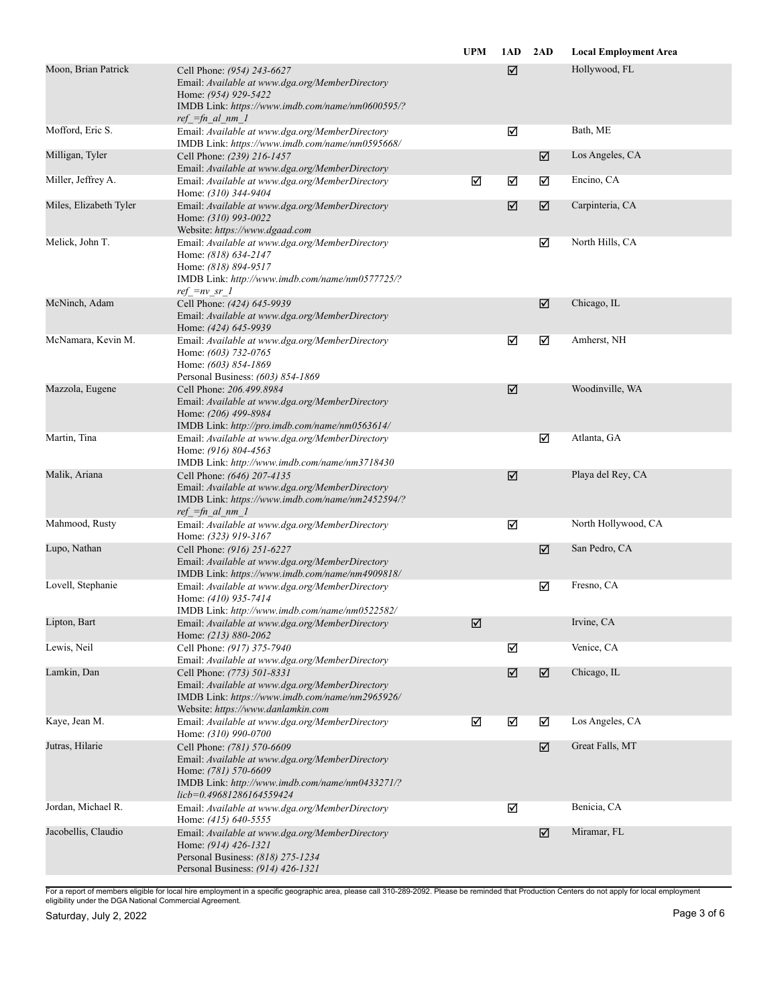|                        |                                                                                                                                                                                      | <b>UPM</b> | 1AD | 2AD | <b>Local Employment Area</b> |
|------------------------|--------------------------------------------------------------------------------------------------------------------------------------------------------------------------------------|------------|-----|-----|------------------------------|
| Moon, Brian Patrick    | Cell Phone: (954) 243-6627<br>Email: Available at www.dga.org/MemberDirectory<br>Home: (954) 929-5422<br>IMDB Link: https://www.imdb.com/name/nm0600595/?<br>$ref =fn$ al nm 1       |            | ☑   |     | Hollywood, FL                |
| Mofford, Eric S.       | Email: Available at www.dga.org/MemberDirectory<br>IMDB Link: https://www.imdb.com/name/nm0595668/                                                                                   |            | ☑   |     | Bath, ME                     |
| Milligan, Tyler        | Cell Phone: (239) 216-1457<br>Email: Available at www.dga.org/MemberDirectory                                                                                                        |            |     | ☑   | Los Angeles, CA              |
| Miller, Jeffrey A.     | Email: Available at www.dga.org/MemberDirectory<br>Home: (310) 344-9404                                                                                                              | ☑          | ☑   | ☑   | Encino, CA                   |
| Miles, Elizabeth Tyler | Email: Available at www.dga.org/MemberDirectory<br>Home: (310) 993-0022<br>Website: https://www.dgaad.com                                                                            |            | ☑   | ☑   | Carpinteria, CA              |
| Melick, John T.        | Email: Available at www.dga.org/MemberDirectory<br>Home: (818) 634-2147<br>Home: (818) 894-9517<br>IMDB Link: http://www.imdb.com/name/nm0577725/?<br>$ref\_=nv\_sr$ 1               |            |     | ☑   | North Hills, CA              |
| McNinch, Adam          | Cell Phone: (424) 645-9939<br>Email: Available at www.dga.org/MemberDirectory<br>Home: (424) 645-9939                                                                                |            |     | ☑   | Chicago, IL                  |
| McNamara, Kevin M.     | Email: Available at www.dga.org/MemberDirectory<br>Home: (603) 732-0765<br>Home: (603) 854-1869<br>Personal Business: (603) 854-1869                                                 |            | ☑   | ☑   | Amherst, NH                  |
| Mazzola, Eugene        | Cell Phone: 206.499.8984<br>Email: Available at www.dga.org/MemberDirectory<br>Home: (206) 499-8984<br>IMDB Link: http://pro.imdb.com/name/nm0563614/                                |            | ☑   |     | Woodinville, WA              |
| Martin, Tina           | Email: Available at www.dga.org/MemberDirectory<br>Home: (916) 804-4563<br>IMDB Link: http://www.imdb.com/name/nm3718430                                                             |            |     | ☑   | Atlanta, GA                  |
| Malik, Ariana          | Cell Phone: (646) 207-4135<br>Email: Available at www.dga.org/MemberDirectory<br>IMDB Link: https://www.imdb.com/name/nm2452594/?<br>$ref_{fn\_al\_nm\_l}$                           |            | ☑   |     | Playa del Rey, CA            |
| Mahmood, Rusty         | Email: Available at www.dga.org/MemberDirectory<br>Home: (323) 919-3167                                                                                                              |            | ☑   |     | North Hollywood, CA          |
| Lupo, Nathan           | Cell Phone: (916) 251-6227<br>Email: Available at www.dga.org/MemberDirectory<br>IMDB Link: https://www.imdb.com/name/nm4909818/                                                     |            |     | ☑   | San Pedro, CA                |
| Lovell, Stephanie      | Email: Available at www.dga.org/MemberDirectory<br>Home: (410) 935-7414<br>IMDB Link: http://www.imdb.com/name/nm0522582/                                                            |            |     | ☑   | Fresno, CA                   |
| Lipton, Bart           | Email: Available at www.dga.org/MemberDirectory<br>Home: (213) 880-2062                                                                                                              | ☑          |     |     | Irvine, CA                   |
| Lewis, Neil            | Cell Phone: (917) 375-7940<br>Email: Available at www.dga.org/MemberDirectory                                                                                                        |            | ☑   |     | Venice, CA                   |
| Lamkin, Dan            | Cell Phone: (773) 501-8331<br>Email: Available at www.dga.org/MemberDirectory<br>IMDB Link: https://www.imdb.com/name/nm2965926/<br>Website: https://www.danlamkin.com               |            | ☑   | ☑   | Chicago, IL                  |
| Kaye, Jean M.          | Email: Available at www.dga.org/MemberDirectory<br>Home: (310) 990-0700                                                                                                              | ☑          | ☑   | ☑   | Los Angeles, CA              |
| Jutras, Hilarie        | Cell Phone: (781) 570-6609<br>Email: Available at www.dga.org/MemberDirectory<br>Home: (781) 570-6609<br>IMDB Link: http://www.imdb.com/name/nm0433271/?<br>licb=0.49681286164559424 |            |     | ☑   | Great Falls, MT              |
| Jordan, Michael R.     | Email: Available at www.dga.org/MemberDirectory<br>Home: (415) 640-5555                                                                                                              |            | ☑   |     | Benicia, CA                  |
| Jacobellis, Claudio    | Email: Available at www.dga.org/MemberDirectory<br>Home: (914) 426-1321<br>Personal Business: (818) 275-1234<br>Personal Business: (914) 426-1321                                    |            |     | ☑   | Miramar, FL                  |
|                        |                                                                                                                                                                                      |            |     |     |                              |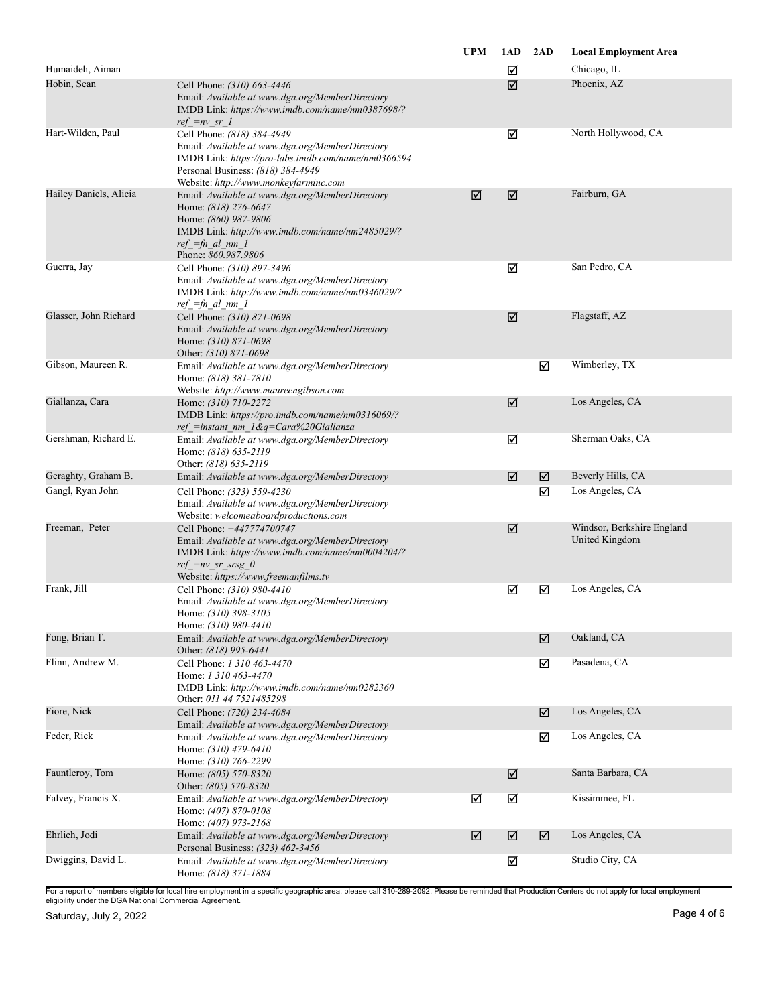|                        |                                                                                                                                                                                                                    | <b>UPM</b> | 1AD | 2AD | <b>Local Employment Area</b>                 |
|------------------------|--------------------------------------------------------------------------------------------------------------------------------------------------------------------------------------------------------------------|------------|-----|-----|----------------------------------------------|
| Humaideh, Aiman        |                                                                                                                                                                                                                    |            | ☑   |     | Chicago, IL                                  |
| Hobin, Sean            | Cell Phone: (310) 663-4446<br>Email: Available at www.dga.org/MemberDirectory<br>IMDB Link: https://www.imdb.com/name/nm0387698/?<br>$ref = nv sr 1$                                                               |            | ☑   |     | Phoenix, AZ                                  |
| Hart-Wilden, Paul      | Cell Phone: (818) 384-4949<br>Email: Available at www.dga.org/MemberDirectory<br>IMDB Link: https://pro-labs.imdb.com/name/nm0366594<br>Personal Business: (818) 384-4949<br>Website: http://www.monkeyfarminc.com |            | ☑   |     | North Hollywood, CA                          |
| Hailey Daniels, Alicia | Email: Available at www.dga.org/MemberDirectory<br>Home: (818) 276-6647<br>Home: (860) 987-9806<br>IMDB Link: http://www.imdb.com/name/nm2485029/?<br>$ref =fn$ al nm 1<br>Phone: 860.987.9806                     | ☑          | ☑   |     | Fairburn, GA                                 |
| Guerra, Jay            | Cell Phone: (310) 897-3496<br>Email: Available at www.dga.org/MemberDirectory<br>IMDB Link: http://www.imdb.com/name/nm0346029/?<br>$ref =fn$ al nm 1                                                              |            | ☑   |     | San Pedro, CA                                |
| Glasser, John Richard  | Cell Phone: (310) 871-0698<br>Email: Available at www.dga.org/MemberDirectory<br>Home: (310) 871-0698<br>Other: (310) 871-0698                                                                                     |            | ☑   |     | Flagstaff, AZ                                |
| Gibson, Maureen R.     | Email: Available at www.dga.org/MemberDirectory<br>Home: (818) 381-7810<br>Website: http://www.maureengibson.com                                                                                                   |            |     | ☑   | Wimberley, TX                                |
| Giallanza, Cara        | Home: (310) 710-2272<br>IMDB Link: https://pro.imdb.com/name/nm0316069/?<br>ref_=instant_nm_1&q=Cara%20Giallanza                                                                                                   |            | ☑   |     | Los Angeles, CA                              |
| Gershman, Richard E.   | Email: Available at www.dga.org/MemberDirectory<br>Home: (818) 635-2119<br>Other: (818) 635-2119                                                                                                                   |            | ☑   |     | Sherman Oaks, CA                             |
| Geraghty, Graham B.    | Email: Available at www.dga.org/MemberDirectory                                                                                                                                                                    |            | ☑   | ☑   | Beverly Hills, CA                            |
| Gangl, Ryan John       | Cell Phone: (323) 559-4230<br>Email: Available at www.dga.org/MemberDirectory<br>Website: welcomeaboardproductions.com                                                                                             |            |     | ☑   | Los Angeles, CA                              |
| Freeman, Peter         | Cell Phone: +447774700747<br>Email: Available at www.dga.org/MemberDirectory<br>IMDB Link: https://www.imdb.com/name/nm0004204/?<br>ref = $nv$ sr srsg $0$<br>Website: https://www.freemanfilms.tv                 |            | ☑   |     | Windsor, Berkshire England<br>United Kingdom |
| Frank, Jill            | Cell Phone: (310) 980-4410<br>Email: Available at www.dga.org/MemberDirectory<br>Home: (310) 398-3105<br>Home: (310) 980-4410                                                                                      |            | ☑   | ☑   | Los Angeles, CA                              |
| Fong, Brian T.         | Email: Available at www.dga.org/MemberDirectory<br>Other: (818) 995-6441                                                                                                                                           |            |     | ☑   | Oakland, CA                                  |
| Flinn, Andrew M.       | Cell Phone: 1 310 463-4470<br>Home: 1 310 463-4470<br>IMDB Link: http://www.imdb.com/name/nm0282360<br>Other: 011 44 7521485298                                                                                    |            |     | ☑   | Pasadena, CA                                 |
| Fiore, Nick            | Cell Phone: (720) 234-4084<br>Email: Available at www.dga.org/MemberDirectory                                                                                                                                      |            |     | ☑   | Los Angeles, CA                              |
| Feder, Rick            | Email: Available at www.dga.org/MemberDirectory<br>Home: (310) 479-6410<br>Home: (310) 766-2299                                                                                                                    |            |     | ☑   | Los Angeles, CA                              |
| Fauntleroy, Tom        | Home: (805) 570-8320<br>Other: (805) 570-8320                                                                                                                                                                      |            | ☑   |     | Santa Barbara, CA                            |
| Falvey, Francis X.     | Email: Available at www.dga.org/MemberDirectory<br>Home: (407) 870-0108<br>Home: (407) 973-2168                                                                                                                    | ☑          | ☑   |     | Kissimmee, FL                                |
| Ehrlich, Jodi          | Email: Available at www.dga.org/MemberDirectory<br>Personal Business: (323) 462-3456                                                                                                                               | ☑          | ☑   | ☑   | Los Angeles, CA                              |
| Dwiggins, David L.     | Email: Available at www.dga.org/MemberDirectory<br>Home: (818) 371-1884                                                                                                                                            |            | ☑   |     | Studio City, CA                              |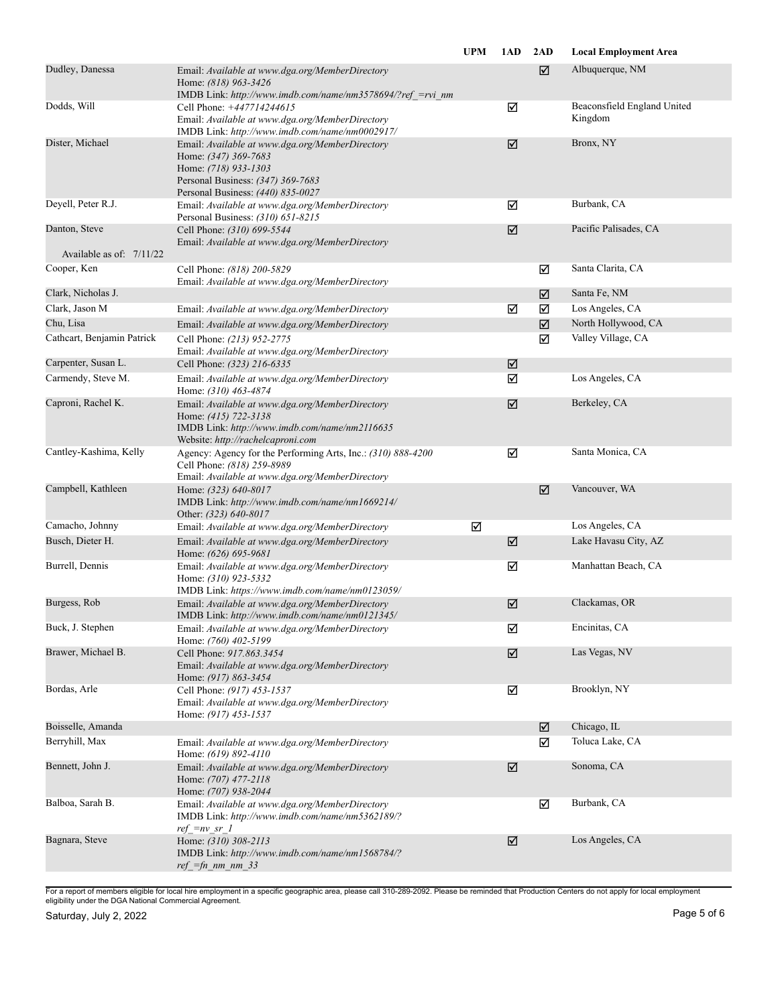|                            |                                                                                                                                                                           | <b>UPM</b> | 1AD                  | 2AD | <b>Local Employment Area</b> |
|----------------------------|---------------------------------------------------------------------------------------------------------------------------------------------------------------------------|------------|----------------------|-----|------------------------------|
| Dudley, Danessa            | Email: Available at www.dga.org/MemberDirectory<br>Home: (818) 963-3426<br>IMDB Link: http://www.imdb.com/name/nm3578694/?ref =rvi nm                                     |            |                      | ☑   | Albuquerque, NM              |
| Dodds, Will                | Cell Phone: +447714244615                                                                                                                                                 |            | ☑                    |     | Beaconsfield England United  |
|                            | Email: Available at www.dga.org/MemberDirectory<br>IMDB Link: http://www.imdb.com/name/nm0002917/                                                                         |            |                      |     | Kingdom                      |
| Dister, Michael            | Email: Available at www.dga.org/MemberDirectory<br>Home: (347) 369-7683<br>Home: (718) 933-1303<br>Personal Business: (347) 369-7683<br>Personal Business: (440) 835-0027 |            | $\boxed{\mathbf{Z}}$ |     | Bronx, NY                    |
| Deyell, Peter R.J.         | Email: Available at www.dga.org/MemberDirectory<br>Personal Business: (310) 651-8215                                                                                      |            | ☑                    |     | Burbank, CA                  |
| Danton, Steve              | Cell Phone: (310) 699-5544<br>Email: Available at www.dga.org/MemberDirectory                                                                                             |            | ☑                    |     | Pacific Palisades, CA        |
| Available as of: $7/11/22$ |                                                                                                                                                                           |            |                      |     |                              |
| Cooper, Ken                | Cell Phone: (818) 200-5829<br>Email: Available at www.dga.org/MemberDirectory                                                                                             |            |                      | ☑   | Santa Clarita, CA            |
| Clark, Nicholas J.         |                                                                                                                                                                           |            |                      | ☑   | Santa Fe, NM                 |
| Clark, Jason M             | Email: Available at www.dga.org/MemberDirectory                                                                                                                           |            | ☑                    | ☑   | Los Angeles, CA              |
| Chu, Lisa                  | Email: Available at www.dga.org/MemberDirectory                                                                                                                           |            |                      | ☑   | North Hollywood, CA          |
| Cathcart, Benjamin Patrick | Cell Phone: (213) 952-2775<br>Email: Available at www.dga.org/MemberDirectory                                                                                             |            |                      | ☑   | Valley Village, CA           |
| Carpenter, Susan L.        | Cell Phone: (323) 216-6335                                                                                                                                                |            | ☑                    |     |                              |
| Carmendy, Steve M.         | Email: Available at www.dga.org/MemberDirectory<br>Home: (310) 463-4874                                                                                                   |            | ☑                    |     | Los Angeles, CA              |
| Caproni, Rachel K.         | Email: Available at www.dga.org/MemberDirectory<br>Home: (415) 722-3138<br>IMDB Link: http://www.imdb.com/name/nm2116635<br>Website: http://rachelcaproni.com             |            | ☑                    |     | Berkeley, CA                 |
| Cantley-Kashima, Kelly     | Agency: Agency for the Performing Arts, Inc.: (310) 888-4200<br>Cell Phone: (818) 259-8989<br>Email: Available at www.dga.org/MemberDirectory                             |            | ☑                    |     | Santa Monica, CA             |
| Campbell, Kathleen         | Home: (323) 640-8017<br>IMDB Link: http://www.imdb.com/name/nm1669214/<br>Other: (323) 640-8017                                                                           |            |                      | ☑   | Vancouver, WA                |
| Camacho, Johnny            | Email: Available at www.dga.org/MemberDirectory                                                                                                                           | ☑          |                      |     | Los Angeles, CA              |
| Busch, Dieter H.           | Email: Available at www.dga.org/MemberDirectory<br>Home: (626) 695-9681                                                                                                   |            | ☑                    |     | Lake Havasu City, AZ         |
| Burrell, Dennis            | Email: Available at www.dga.org/MemberDirectory<br>Home: (310) 923-5332<br>IMDB Link: https://www.imdb.com/name/nm0123059/                                                |            | ☑                    |     | Manhattan Beach, CA          |
| Burgess, Rob               | Email: Available at www.dga.org/MemberDirectory<br>IMDB Link: http://www.imdb.com/name/nm0121345/                                                                         |            | ☑                    |     | Clackamas, OR                |
| Buck, J. Stephen           | Email: Available at www.dga.org/MemberDirectory<br>Home: (760) 402-5199                                                                                                   |            | ☑                    |     | Encinitas, CA                |
| Brawer, Michael B.         | Cell Phone: 917.863.3454<br>Email: Available at www.dga.org/MemberDirectory<br>Home: (917) 863-3454                                                                       |            | ☑                    |     | Las Vegas, NV                |
| Bordas, Arle               | Cell Phone: (917) 453-1537<br>Email: Available at www.dga.org/MemberDirectory<br>Home: (917) 453-1537                                                                     |            | ☑                    |     | Brooklyn, NY                 |
| Boisselle, Amanda          |                                                                                                                                                                           |            |                      | ☑   | Chicago, IL                  |
| Berryhill, Max             | Email: Available at www.dga.org/MemberDirectory<br>Home: (619) 892-4110                                                                                                   |            |                      | ☑   | Toluca Lake, CA              |
| Bennett, John J.           | Email: Available at www.dga.org/MemberDirectory<br>Home: (707) 477-2118<br>Home: (707) 938-2044                                                                           |            | ☑                    |     | Sonoma, CA                   |
| Balboa, Sarah B.           | Email: Available at www.dga.org/MemberDirectory<br>IMDB Link: http://www.imdb.com/name/nm5362189/?<br>$ref = nv sr 1$                                                     |            |                      | ☑   | Burbank, CA                  |
| Bagnara, Steve             | Home: (310) 308-2113<br>IMDB Link: http://www.imdb.com/name/nm1568784/?<br>$ref =fn$ nm nm 33                                                                             |            | ☑                    |     | Los Angeles, CA              |
|                            |                                                                                                                                                                           |            |                      |     |                              |